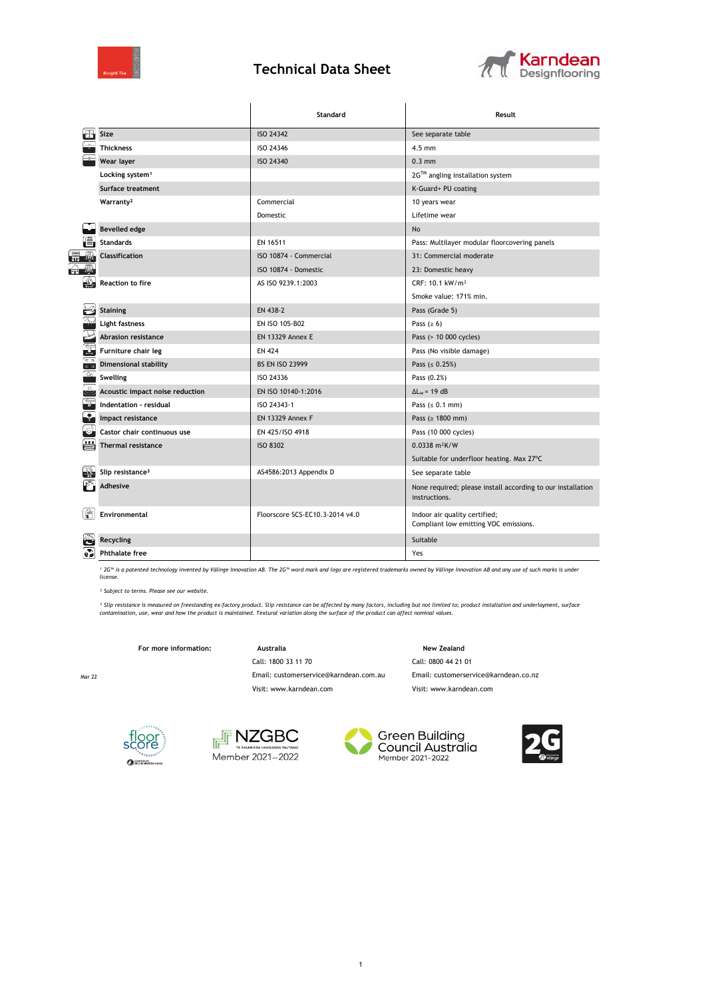

## **Technical Data Sheet**



|                         |                                 | Standard                        | Result                                                                       |  |
|-------------------------|---------------------------------|---------------------------------|------------------------------------------------------------------------------|--|
|                         | Size                            | ISO 24342                       | See separate table                                                           |  |
|                         | <b>Thickness</b>                | ISO 24346                       | $4.5$ mm                                                                     |  |
|                         | Wear layer                      | ISO 24340                       | $0.3$ mm                                                                     |  |
|                         | Locking system <sup>1</sup>     |                                 | 2G™ angling installation system                                              |  |
|                         | <b>Surface treatment</b>        |                                 | K-Guard+ PU coating                                                          |  |
|                         | Warranty <sup>2</sup>           | Commercial                      | 10 years wear                                                                |  |
|                         |                                 | Domestic                        | Lifetime wear                                                                |  |
|                         | <b>Bevelled edge</b>            |                                 | <b>No</b>                                                                    |  |
|                         | <b>Standards</b>                | EN 16511                        | Pass: Multilayer modular floorcovering panels                                |  |
|                         | <b>Classification</b>           | ISO 10874 - Commercial          | 31: Commercial moderate                                                      |  |
|                         |                                 | ISO 10874 - Domestic            | 23: Domestic heavy                                                           |  |
|                         | <b>Reaction to fire</b>         | AS ISO 9239.1:2003              | CRF: 10.1 kW/m <sup>2</sup>                                                  |  |
|                         |                                 |                                 | Smoke value: 171% min.                                                       |  |
|                         | <b>Staining</b>                 | EN 438-2                        | Pass (Grade 5)                                                               |  |
|                         | Light fastness                  | EN ISO 105-B02                  | Pass ( $\geq 6$ )                                                            |  |
|                         | <b>Abrasion resistance</b>      | <b>EN 13329 Annex E</b>         | Pass (> 10 000 cycles)                                                       |  |
|                         | Furniture chair leg             | <b>EN 424</b>                   | Pass (No visible damage)                                                     |  |
| ∠ ⊿                     | <b>Dimensional stability</b>    | <b>BS EN ISO 23999</b>          | Pass ( $\leq 0.25\%$ )                                                       |  |
| ò                       | <b>Swelling</b>                 | ISO 24336                       | Pass (0.2%)                                                                  |  |
|                         | Acoustic impact noise reduction | EN ISO 10140-1:2016             | $\Delta L_w = 19$ dB                                                         |  |
|                         | Indentation - residual          | ISO 24343-1                     | Pass $(0.1 mm)$                                                              |  |
|                         | Impact resistance               | <b>EN 13329 Annex F</b>         | Pass (≥ 1800 mm)                                                             |  |
|                         | Castor chair continuous use     | EN 425/ISO 4918                 | Pass (10 000 cycles)                                                         |  |
|                         | <b>Thermal resistance</b>       | <b>ISO 8302</b>                 | $0.0338$ m <sup>2</sup> K/W                                                  |  |
|                         |                                 |                                 | Suitable for underfloor heating. Max 27°C                                    |  |
|                         | Slip resistance <sup>3</sup>    | AS4586:2013 Appendix D          | See separate table                                                           |  |
|                         | <b>Adhesive</b>                 |                                 | None required; please install according to our installation<br>instructions. |  |
|                         | Environmental                   | Floorscore SCS-EC10.3-2014 v4.0 | Indoor air quality certified;<br>Compliant low emitting VOC emissions.       |  |
|                         | <b>Recycling</b>                |                                 | Suitable                                                                     |  |
| $\mathbf{v}_\mathbf{z}$ | <b>Phthalate free</b>           |                                 | Yes                                                                          |  |

*¹ 2G™ is a patented technology invented by Välinge Innovation AB. The 2G™ word mark and logo are registered trademarks owned by Välinge Innovation AB and any use of such marks is under license.*

*² Subject to terms. Please see our website.*

<sup>3</sup> Slip resistance is measured on freestanding ex-factory product. Slip resistance can be affected by many factors, including but not limited to; product installation and underlayment, surface<br>contamination, use, wear and

1

For more information: **Australia** Australia **New Zealand** 

Call: 1800 33 11 70 Call: 0800 44 21 01

Mar 22 Email: customerservice@karndean.com.au Email: customerservice@karndean.co.nz

Visit: www.karndean.com Visit: www.karndean.com